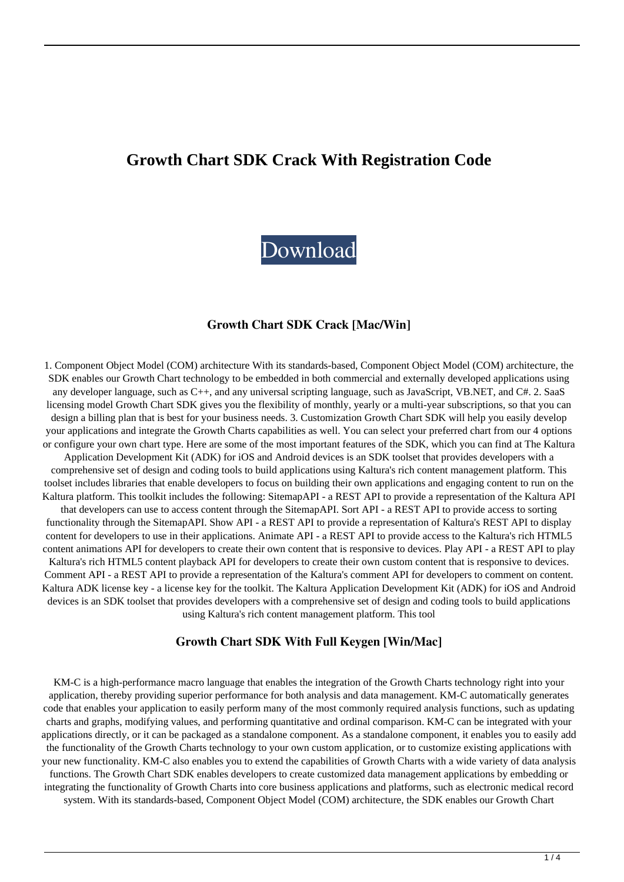# **Growth Chart SDK Crack With Registration Code**



#### **Growth Chart SDK Crack [Mac/Win]**

1. Component Object Model (COM) architecture With its standards-based, Component Object Model (COM) architecture, the SDK enables our Growth Chart technology to be embedded in both commercial and externally developed applications using any developer language, such as C++, and any universal scripting language, such as JavaScript, VB.NET, and C#. 2. SaaS licensing model Growth Chart SDK gives you the flexibility of monthly, yearly or a multi-year subscriptions, so that you can design a billing plan that is best for your business needs. 3. Customization Growth Chart SDK will help you easily develop your applications and integrate the Growth Charts capabilities as well. You can select your preferred chart from our 4 options or configure your own chart type. Here are some of the most important features of the SDK, which you can find at The Kaltura Application Development Kit (ADK) for iOS and Android devices is an SDK toolset that provides developers with a comprehensive set of design and coding tools to build applications using Kaltura's rich content management platform. This toolset includes libraries that enable developers to focus on building their own applications and engaging content to run on the Kaltura platform. This toolkit includes the following: SitemapAPI - a REST API to provide a representation of the Kaltura API that developers can use to access content through the SitemapAPI. Sort API - a REST API to provide access to sorting functionality through the SitemapAPI. Show API - a REST API to provide a representation of Kaltura's REST API to display content for developers to use in their applications. Animate API - a REST API to provide access to the Kaltura's rich HTML5 content animations API for developers to create their own content that is responsive to devices. Play API - a REST API to play Kaltura's rich HTML5 content playback API for developers to create their own custom content that is responsive to devices. Comment API - a REST API to provide a representation of the Kaltura's comment API for developers to comment on content. Kaltura ADK license key - a license key for the toolkit. The Kaltura Application Development Kit (ADK) for iOS and Android devices is an SDK toolset that provides developers with a comprehensive set of design and coding tools to build applications using Kaltura's rich content management platform. This tool

#### **Growth Chart SDK With Full Keygen [Win/Mac]**

KM-C is a high-performance macro language that enables the integration of the Growth Charts technology right into your application, thereby providing superior performance for both analysis and data management. KM-C automatically generates code that enables your application to easily perform many of the most commonly required analysis functions, such as updating charts and graphs, modifying values, and performing quantitative and ordinal comparison. KM-C can be integrated with your applications directly, or it can be packaged as a standalone component. As a standalone component, it enables you to easily add the functionality of the Growth Charts technology to your own custom application, or to customize existing applications with your new functionality. KM-C also enables you to extend the capabilities of Growth Charts with a wide variety of data analysis functions. The Growth Chart SDK enables developers to create customized data management applications by embedding or integrating the functionality of Growth Charts into core business applications and platforms, such as electronic medical record system. With its standards-based, Component Object Model (COM) architecture, the SDK enables our Growth Chart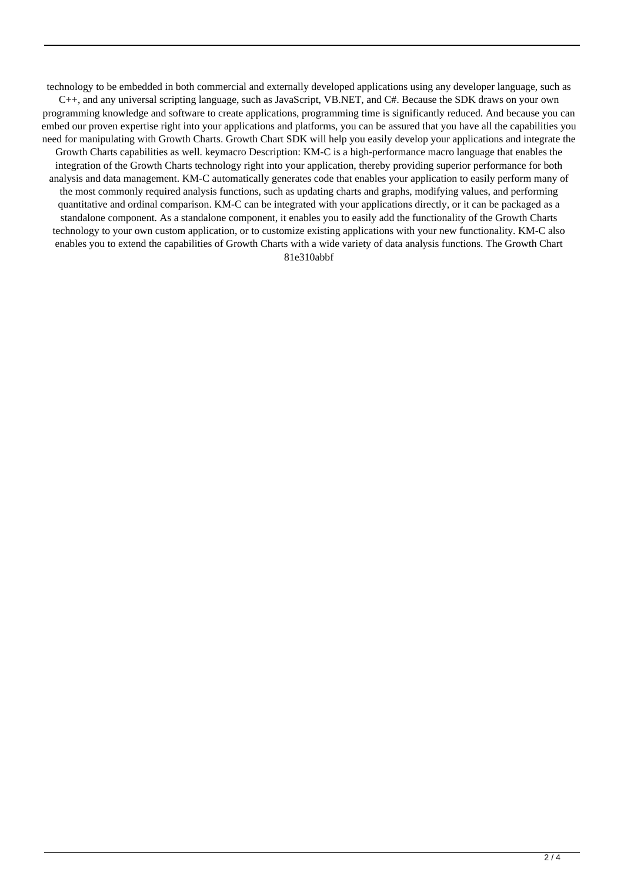technology to be embedded in both commercial and externally developed applications using any developer language, such as C++, and any universal scripting language, such as JavaScript, VB.NET, and C#. Because the SDK draws on your own programming knowledge and software to create applications, programming time is significantly reduced. And because you can embed our proven expertise right into your applications and platforms, you can be assured that you have all the capabilities you need for manipulating with Growth Charts. Growth Chart SDK will help you easily develop your applications and integrate the Growth Charts capabilities as well. keymacro Description: KM-C is a high-performance macro language that enables the integration of the Growth Charts technology right into your application, thereby providing superior performance for both analysis and data management. KM-C automatically generates code that enables your application to easily perform many of the most commonly required analysis functions, such as updating charts and graphs, modifying values, and performing quantitative and ordinal comparison. KM-C can be integrated with your applications directly, or it can be packaged as a standalone component. As a standalone component, it enables you to easily add the functionality of the Growth Charts technology to your own custom application, or to customize existing applications with your new functionality. KM-C also enables you to extend the capabilities of Growth Charts with a wide variety of data analysis functions. The Growth Chart 81e310abbf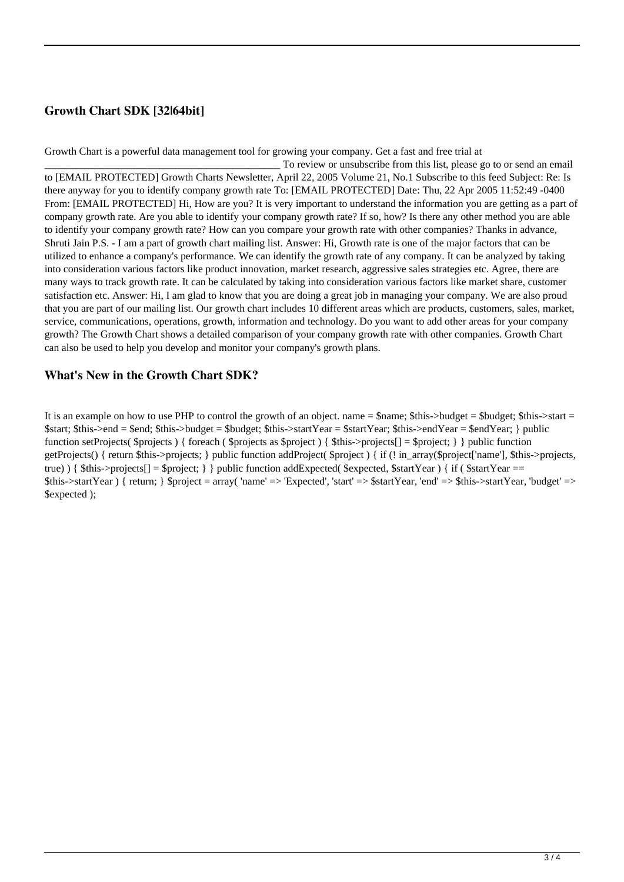## **Growth Chart SDK [32|64bit]**

Growth Chart is a powerful data management tool for growing your company. Get a fast and free trial at

To review or unsubscribe from this list, please go to or send an email to [EMAIL PROTECTED] Growth Charts Newsletter, April 22, 2005 Volume 21, No.1 Subscribe to this feed Subject: Re: Is there anyway for you to identify company growth rate To: [EMAIL PROTECTED] Date: Thu, 22 Apr 2005 11:52:49 -0400 From: [EMAIL PROTECTED] Hi, How are you? It is very important to understand the information you are getting as a part of company growth rate. Are you able to identify your company growth rate? If so, how? Is there any other method you are able to identify your company growth rate? How can you compare your growth rate with other companies? Thanks in advance, Shruti Jain P.S. - I am a part of growth chart mailing list. Answer: Hi, Growth rate is one of the major factors that can be utilized to enhance a company's performance. We can identify the growth rate of any company. It can be analyzed by taking into consideration various factors like product innovation, market research, aggressive sales strategies etc. Agree, there are many ways to track growth rate. It can be calculated by taking into consideration various factors like market share, customer satisfaction etc. Answer: Hi, I am glad to know that you are doing a great job in managing your company. We are also proud that you are part of our mailing list. Our growth chart includes 10 different areas which are products, customers, sales, market, service, communications, operations, growth, information and technology. Do you want to add other areas for your company growth? The Growth Chart shows a detailed comparison of your company growth rate with other companies. Growth Chart can also be used to help you develop and monitor your company's growth plans.

### **What's New in the Growth Chart SDK?**

It is an example on how to use PHP to control the growth of an object. name  $=\frac{1}{2}$  \$this->budget = \$budget; \$this->start = \$start; \$this->end = \$end; \$this->budget = \$budget; \$this->startYear = \$startYear; \$this->endYear = \$endYear; } public function setProjects( $\text{Sprojects}$ ) { foreach ( $\text{Sprojects}$  as  $\text{Sprojects}$ ) {  $\text{Shis}>projects[] = \text{Sprojects}$ } } public function getProjects() { return \$this->projects; } public function addProject( \$project ) { if (! in\_array(\$project['name'], \$this->projects, true)  $\{ \text{Shis} > \text{projects}[] = \text{Stroject}; \}$  public function addExpected(  $\text{Sexpected}, \text{SstartYear}$ )  $\{ \text{if } (\text{SstartYear}) = \text{Set} \}$  $$this>startYear$  } { return; }  $$project = array('name' => 'Expected', 'start' => $startYear, 'end' => $this>startYear, 'budget' =>$ \$expected );